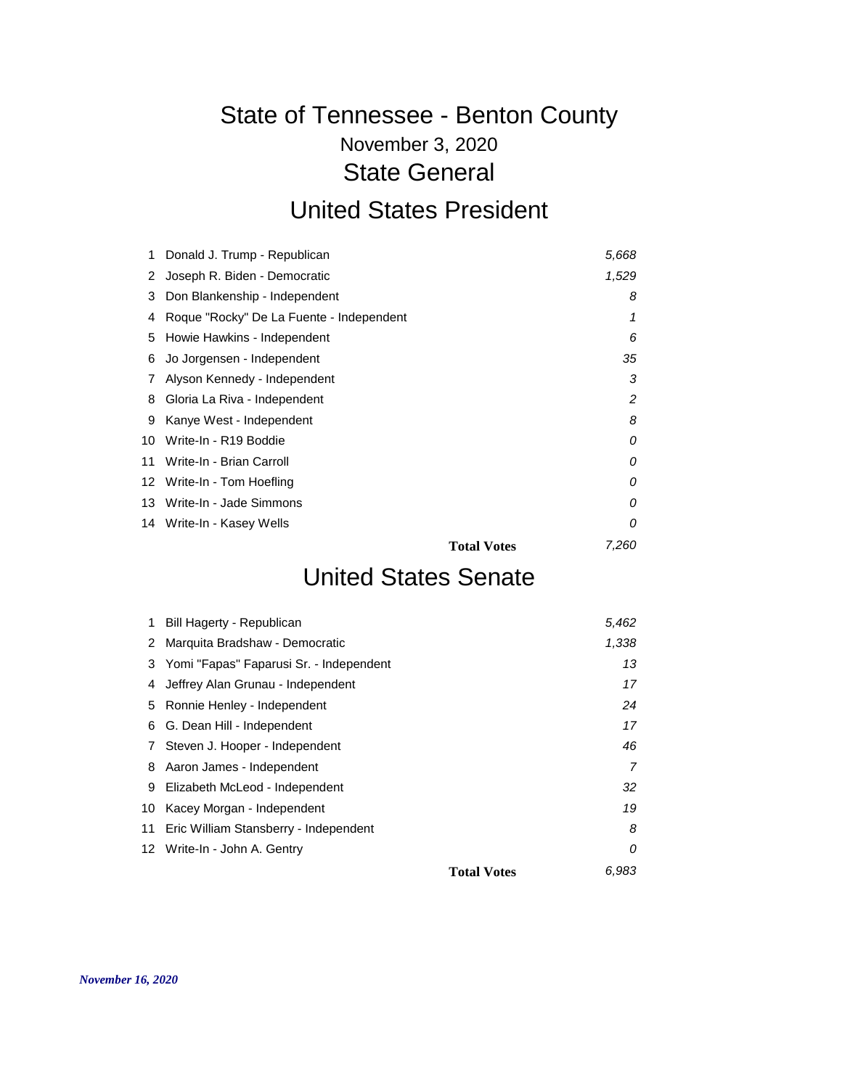## November 3, 2020 State of Tennessee - Benton County State General United States President

#### Donald J. Trump - Republican *5,668* Joseph R. Biden - Democratic *1,529* Don Blankenship - Independent *8* Roque "Rocky" De La Fuente - Independent *1* Howie Hawkins - Independent *6* Jo Jorgensen - Independent *35* Alyson Kennedy - Independent *3* Gloria La Riva - Independent *2* Kanye West - Independent *8* Write-In - R19 Boddie *0* Write-In - Brian Carroll *0* Write-In - Tom Hoefling *0* Write-In - Jade Simmons *0* Write-In - Kasey Wells *0* **Total Votes** *7,260*

#### United States Senate

| 1  | Bill Hagerty - Republican                |                    | 5,462 |
|----|------------------------------------------|--------------------|-------|
| 2  | Marquita Bradshaw - Democratic           |                    | 1,338 |
| 3  | Yomi "Fapas" Faparusi Sr. - Independent  |                    | 13    |
| 4  | Jeffrey Alan Grunau - Independent        |                    | 17    |
| 5  | Ronnie Henley - Independent              |                    | 24    |
| 6  | G. Dean Hill - Independent               |                    | 17    |
| 7  | Steven J. Hooper - Independent           |                    | 46    |
| 8  | Aaron James - Independent                |                    |       |
| 9  | Elizabeth McLeod - Independent           |                    | 32    |
| 10 | Kacey Morgan - Independent               |                    | 19    |
|    | 11 Eric William Stansberry - Independent |                    | 8     |
|    | 12 Write-In - John A. Gentry             |                    | 0     |
|    |                                          | <b>Total Votes</b> | 6.983 |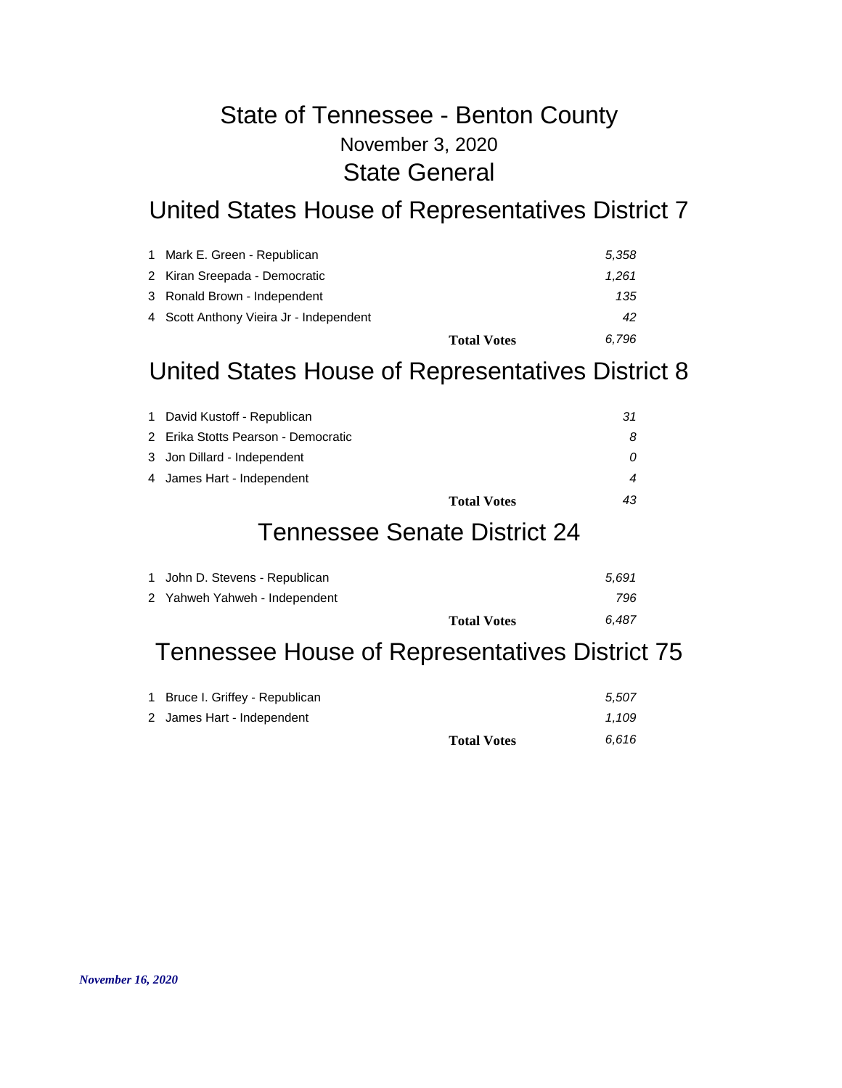## November 3, 2020 State of Tennessee - Benton County State General

## United States House of Representatives District 7

| 1 Mark E. Green - Republican            | 5.358                       |
|-----------------------------------------|-----------------------------|
| 2 Kiran Sreepada - Democratic           | 1.261                       |
| 3 Ronald Brown - Independent            | 135                         |
| 4 Scott Anthony Vieira Jr - Independent | 42                          |
|                                         | 6.796<br><b>Total Votes</b> |

## United States House of Representatives District 8

| 1 David Kustoff - Republican        | 31 |
|-------------------------------------|----|
| 2 Erika Stotts Pearson - Democratic |    |
| 3 Jon Dillard - Independent         |    |
| 4 James Hart - Independent          |    |
| <b>Total Votes</b>                  | 43 |

#### Tennessee Senate District 24

| 1 John D. Stevens - Republican | 5.691 |
|--------------------------------|-------|
| 2 Yahweh Yahweh - Independent  | 796   |
| <b>Total Votes</b>             | 6.487 |

# Tennessee House of Representatives District 75

| 1 Bruce I. Griffey - Republican |                    | 5.507 |
|---------------------------------|--------------------|-------|
| 2 James Hart - Independent      |                    | 1.109 |
|                                 | <b>Total Votes</b> | 6.616 |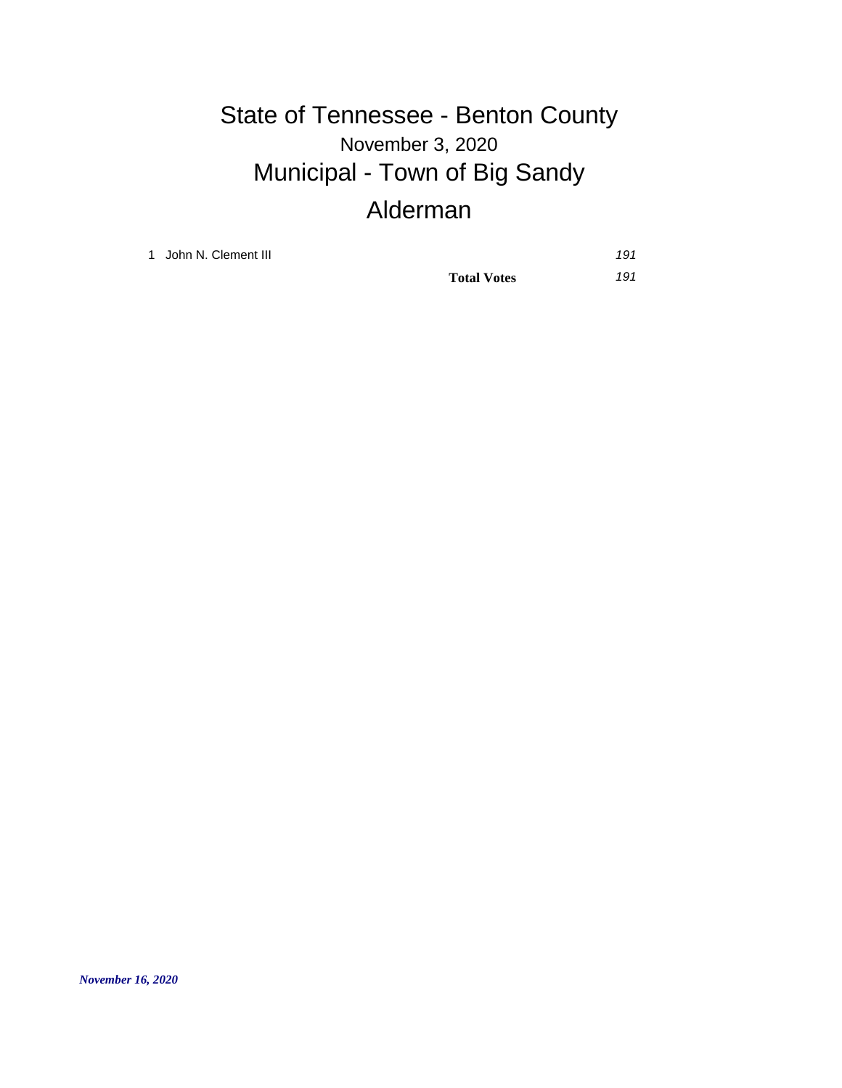# November 3, 2020 State of Tennessee - Benton County Municipal - Town of Big Sandy Alderman

1 John N. Clement III *191*

**Total Votes** *191*